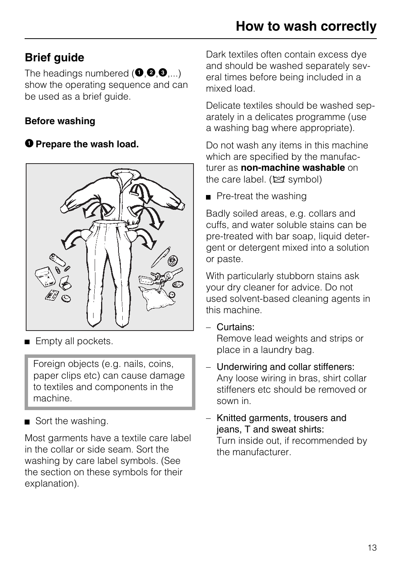# **Brief guide**

The headings numbered  $(0, 0, 0, \ldots)$ show the operating sequence and can be used as a brief guide.

## **Before washing**

## $\bullet$  **Prepare the wash load.**



**Empty all pockets.** 

Foreign objects (e.g. nails, coins, paper clips etc) can cause damage to textiles and components in the machine.

Sort the washing.

Most garments have a textile care label in the collar or side seam. Sort the washing by care label symbols. (See the section on these symbols for their explanation).

Dark textiles often contain excess dye and should be washed separately several times before being included in a mixed load.

Delicate textiles should be washed separately in a delicates programme (use a washing bag where appropriate).

Do not wash any items in this machine which are specified by the manufacturer as **non-machine washable** on the care label. ( $\mathbb{X}$  symbol)

 $\blacksquare$  Pre-treat the washing

Badly soiled areas, e.g. collars and cuffs, and water soluble stains can be pre-treated with bar soap, liquid detergent or detergent mixed into a solution or paste.

With particularly stubborn stains ask your dry cleaner for advice. Do not used solvent-based cleaning agents in this machine.

– Curtains:

Remove lead weights and strips or place in a laundry bag.

- Underwiring and collar stiffeners: Any loose wiring in bras, shirt collar stiffeners etc should be removed or sown in.
- Knitted garments, trousers and jeans, T and sweat shirts: Turn inside out, if recommended by the manufacturer.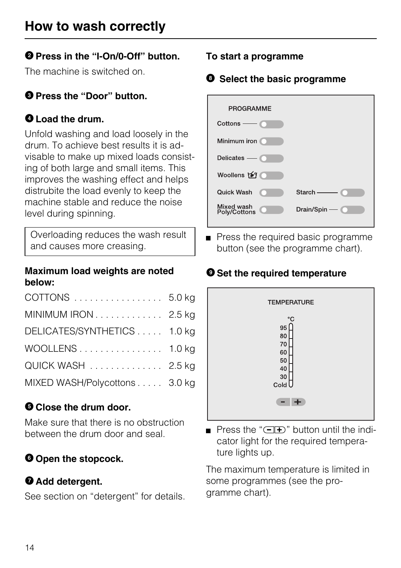### 2 **Press in the "I-On/0-Off" button.**

The machine is switched on.

## 3 **Press the "Door" button.**

## 4 **Load the drum.**

Unfold washing and load loosely in the drum. To achieve best results it is advisable to make up mixed loads consisting of both large and small items. This improves the washing effect and helps distrubite the load evenly to keep the machine stable and reduce the noise level during spinning.

Overloading reduces the wash result and causes more creasing.

#### **Maximum load weights are noted below:**

| COTTONS  5.0 kg               |  |
|-------------------------------|--|
| MINIMUM IRON 2.5 kg           |  |
| DELICATES/SYNTHETICS 1.0 kg   |  |
| WOOLLENS 1.0 kg               |  |
| QUICK WASH  2.5 kg            |  |
| MIXED WASH/Polycottons 3.0 kg |  |

## 5 **Close the drum door.**

Make sure that there is no obstruction between the drum door and seal.

## 6 **Open the stopcock.**

## $\bullet$  Add detergent.

See section on "detergent" for details.

### **To start a programme**

### 8 **Select the basic programme**

| PROGRAMME                  |              |
|----------------------------|--------------|
| Cottons -                  |              |
| Minimum iron               |              |
| Delicates —                |              |
| Woollens <b>M</b>          |              |
| Quick Wash                 | Starch —     |
| Mixed wash<br>Poly/Cottons | Drain/Spin - |
|                            |              |

Press the required basic programme button (see the programme chart).

## 9 **Set the required temperature**



Press the " $(T)$ " button until the indicator light for the required temperature lights up.

The maximum temperature is limited in some programmes (see the programme chart).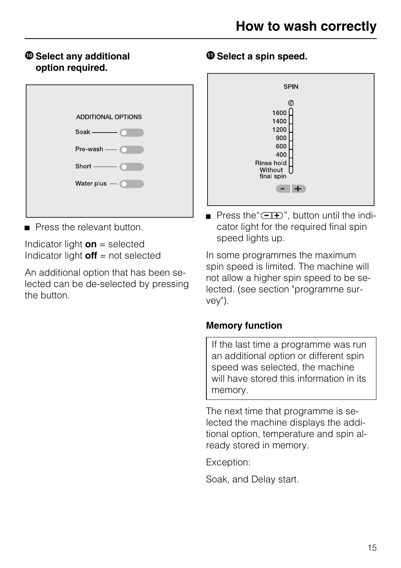#### 0 **Select any additional option required.**

| <b>ADDITIONAL OPTIONS</b>          |
|------------------------------------|
| $S$ oak — $\bigcirc$               |
| Pre-wash $\qquad \qquad \bullet$   |
| Short $\_\_$                       |
| Water plus $\qquad \qquad \bullet$ |
|                                    |
|                                    |

**Press the relevant button** 

Indicator light **on** = selected Indicator light **off** = not selected

An additional option that has been selected can be de-selected by pressing the button.

### $\Phi$  **Select a spin speed.**



Press the " $\Box$ ", button until the indicator light for the required final spin speed lights up.

In some programmes the maximum spin speed is limited. The machine will not allow a higher spin speed to be selected. (see section "programme survey").

#### **Memory function**

If the last time a programme was run an additional option or different spin speed was selected, the machine will have stored this information in its memory.

The next time that programme is selected the machine displays the additional option, temperature and spin already stored in memory.

Exception:

Soak, and Delay start.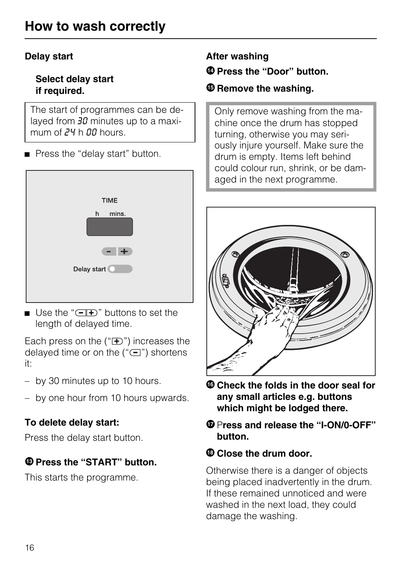### **Delay start**

#### **Select delay start if required.**

The start of programmes can be delayed from  $30$  minutes up to a maximum of  $24$  h  $00$  hours.

Press the "delay start" button.



Use the " $(\neg \rightharpoonup \rightharpoonup$ " buttons to set the length of delayed time.

Each press on the (" $\bigoplus$ ") increases the delayed time or on the  $(" $\equiv$ ") shortens$ it:

- by 30 minutes up to 10 hours.
- by one hour from 10 hours upwards.

### **To delete delay start:**

Press the delay start button.

### ~ **Press the "START" button.**

This starts the programme.

#### **After washing**

 $\Phi$  Press the "Door" button.

### $\mathbf{\Theta}$  **Remove the washing.**

Only remove washing from the machine once the drum has stopped turning, otherwise you may seriously injure yourself. Make sure the drum is empty. Items left behind could colour run, shrink, or be damaged in the next programme.



- & **Check the folds in the door seal for any small articles e.g. buttons which might be lodged there.**
- / P**ress and release the "I-ON/0-OFF" button.**

### ( **Close the drum door.**

Otherwise there is a danger of objects being placed inadvertently in the drum. If these remained unnoticed and were washed in the next load, they could damage the washing.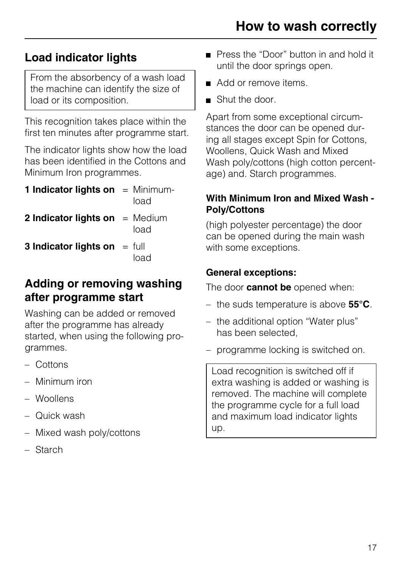## **Load indicator lights**

From the absorbency of a wash load the machine can identify the size of load or its composition.

This recognition takes place within the first ten minutes after programme start.

The indicator lights show how the load has been identified in the Cottons and Minimum Iron programmes.

| <b>1 Indicator lights on</b> $=$ Minimum- | load |
|-------------------------------------------|------|
| <b>2 Indicator lights on</b> $=$ Medium   | load |
| <b>3 Indicator lights on</b> $=$ full     | load |

## **Adding or removing washing after programme start**

Washing can be added or removed after the programme has already started, when using the following programmes.

- Cottons
- Minimum iron
- Woollens
- Quick wash
- Mixed wash poly/cottons
- Starch
- **Press the "Door" button in and hold it** until the door springs open.
- Add or remove items.
- Shut the door

Apart from some exceptional circumstances the door can be opened during all stages except Spin for Cottons, Woollens, Quick Wash and Mixed Wash poly/cottons (high cotton percentage) and. Starch programmes.

### **With Minimum Iron and Mixed Wash - Poly/Cottons**

(high polyester percentage) the door can be opened during the main wash with some exceptions.

### **General exceptions:**

The door **cannot be** opened when:

- the suds temperature is above **55°C**.
- the additional option "Water plus" has been selected,
- programme locking is switched on.

Load recognition is switched off if extra washing is added or washing is removed. The machine will complete the programme cycle for a full load and maximum load indicator lights up.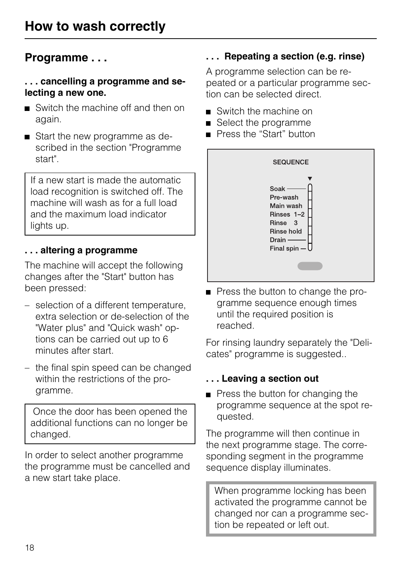## **Programme . . .**

#### **. . . cancelling a programme and selecting a new one.**

- Switch the machine off and then on again.
- Start the new programme as described in the section "Programme start".

If a new start is made the automatic load recognition is switched off. The machine will wash as for a full load and the maximum load indicator lights up.

#### **. . . altering a programme**

The machine will accept the following changes after the "Start" button has been pressed:

- selection of a different temperature, extra selection or de-selection of the "Water plus" and "Quick wash" options can be carried out up to 6 minutes after start.
- the final spin speed can be changed within the restrictions of the programme.

 Once the door has been opened the additional functions can no longer be changed.

In order to select another programme the programme must be cancelled and a new start take place.

### **. . . Repeating a section (e.g. rinse)**

A programme selection can be repeated or a particular programme section can be selected direct.

- Switch the machine on
- Select the programme
- **Press the "Start" button**



Press the button to change the programme sequence enough times until the required position is reached.

For rinsing laundry separately the "Delicates" programme is suggested..

#### **. . . Leaving a section out**

**Press the button for changing the** programme sequence at the spot requested.

The programme will then continue in the next programme stage. The corresponding segment in the programme sequence display illuminates.

When programme locking has been activated the programme cannot be changed nor can a programme section be repeated or left out.